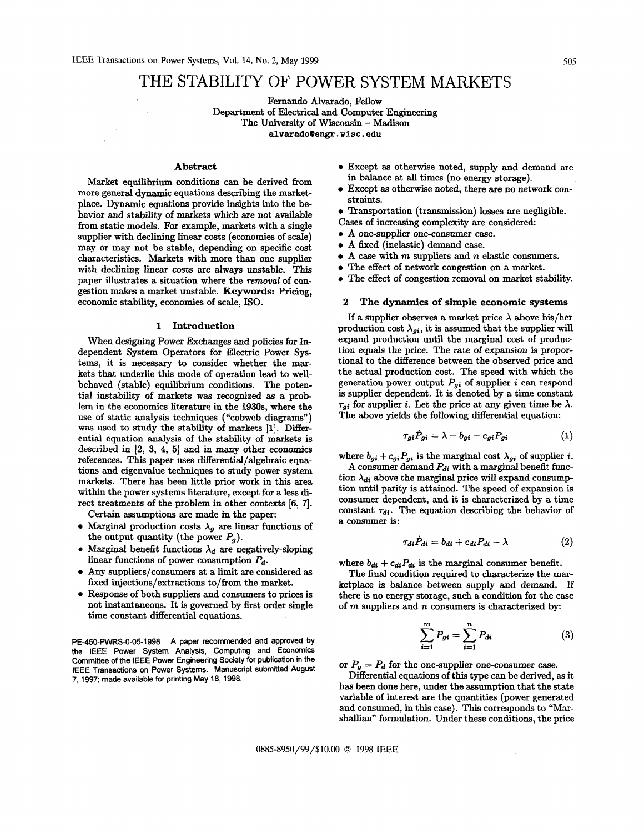# THE STABILITY OF POWER SYSTEM MARKETS

Fernando Alvarado, Fellow

Department of Electrical and Computer Engineering

The University of Wisconsin - Madison

**[alvarado0engr.visc.edu](http://alvarado0engr.visc.edu)** 

# Abstract

Market equilibrium conditions can be derived from more general dynamic equations describing the marketplace. Dynamic equations provide insights into the behavior and stability of markets which are not available from static models. For example, markets with a single supplier with declining linear costs (economies of scale) may or may not be stable, depending **on** specific cost characteristics. Markets with more than one supplier with declining linear costs are always unstable. This paper illustrates a situation where the removal of congestion makes a market unstable. Keywords: Pricing, economic stability, economies of scale, ISO.

## **1** Introduction

When designing Power Exchanges and policies for Independent System Operators for Electric Power Systems, it is necessary to consider whether the markets that underlie this mode of operation lead to wellbehaved (stable) equilibrium conditions. The potential instability of markets was recognized **as** a problem in the economics literature in the **1930s,** where the use of static analysis techniques ("cobweb diagrams") **was** used to study the stability **of** markets **[l].** Differential equation analysis of the stability of markets is described in [2, 3, **4, 51** and in many other economics references. This paper uses differential/algebraic equations and eigenvalue techniques to study power system markets. There has been little prior work in this area within the power systems literature, except for a less direct treatments of the problem in other contexts [6, 7].

Certain assumptions are made in the paper:

- Marginal production costs  $\lambda_g$  are linear functions of the output quantity (the power  $P_g$ ).
- Marginal benefit functions  $\lambda_d$  are negatively-sloping linear functions of power consumption *Pd.*
- Any suppliers/consumers at a limit are considered **as**  fixed injections/extractions to/from the market.
- Response of both suppliers and consumers to prices is not instantaneous. It is governed by first order single time constant differential equations.

PE-450-PWRS-0-05-1998 A paper recommended and approved by **the IEEE Power System Analysis, Computing and Economics Committee of the IEEE Power Engineering Society for publication in the IEEE Transactions on Power Systems. Manuscript submitted August 7, 1997; made available for printing May 18, 1998.** 

- **e** Except **as** otherwise noted, supply and demand are in balance at **all** times (no energy storage).
- Except **as** otherwise noted, there are **no** network constraints.
- Transportation (transmission) losses are negligible.
- Cases of increasing complexity are considered:
- **e** A one-supplier one-consumer case.
- A fixed (inelastic) demand case.
- A case with *m* suppliers and n elastic consumers.
- The effect of network congestion on a market.
- **e** The effect of congestion removal on market stability.

## **2** The dynamics **of** simple economic systems

If a supplier observes a market price  $\lambda$  above his/her production cost  $\lambda_{gi}$ , it is assumed that the supplier will expand production until the marginal cost of production equals the price. The rate of expansion is proportional to the difference between the observed price and the actual production cost. The speed with which the generation power output  $P_{gi}$  of supplier *i* can respond is supplier dependent. It is denoted by a time constant  $\tau_{gi}$  for supplier *i*. Let the price at any given time be  $\lambda$ . The above yields the following differential equation:

$$
\tau_{gi}\dot{P}_{gi} = \lambda - b_{gi} - c_{gi}P_{gi} \tag{1}
$$

where  $b_{gi} + c_{gi}P_{gi}$  is the marginal cost  $\lambda_{gi}$  of supplier *i*.

A consumer demand *Pdi* with a marginal benefit function  $\lambda_{di}$  above the marginal price will expand consumption until parity is attained. The speed of expansion is consumer dependent, and it is characterized by a time constant  $\tau_{di}$ . The equation describing the behavior of a consumer is:

$$
\tau_{di}\dot{P}_{di} = b_{di} + c_{di}P_{di} - \lambda \tag{2}
$$

where  $b_{di} + c_{di}P_{di}$  is the marginal consumer benefit.

The **final** condition required to characterize the marketplace is balance between supply and demand. If there is **no** energy storage, such a condition for the case of *m* suppliers and n consumers is characterized by:

$$
\sum_{i=1}^{m} P_{gi} = \sum_{i=1}^{n} P_{di}
$$
 (3)

or  $P_g = P_d$  for the one-supplier one-consumer case.

Differential equations of this type can be derived, **as** it has been done here, under the assumption that the state variable of interest are the quantities (power generated and consumed, in this case). This corresponds to "Marshallian" formulation. Under these conditions, the price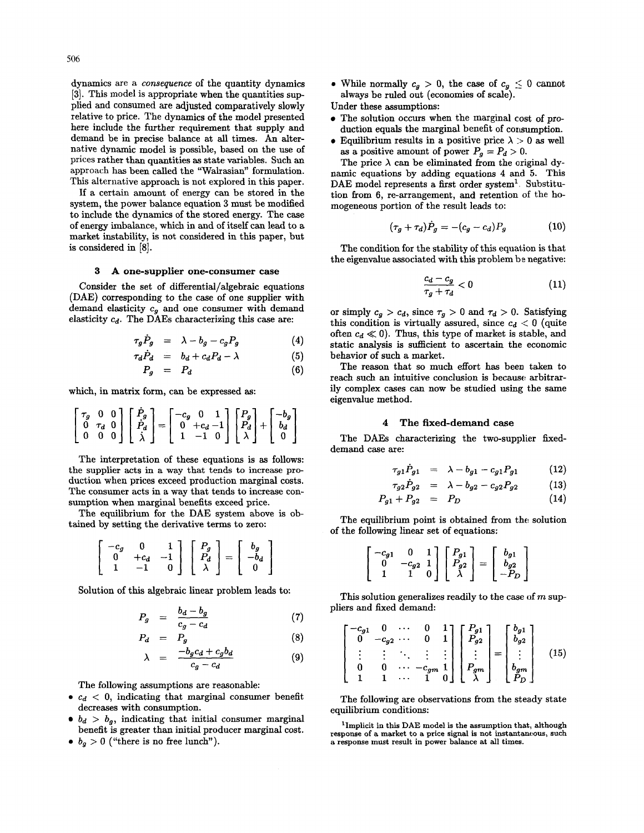dynamics are a *consequence* of the quantity dynamics **[3].** This model is appropriate when the quantities sup-

plied and consumed are adjusted comparatively slowly relative to price. The dynamics of the model presented here include the further requirement that supply and demand be in precise balance at all times. **An** alternative dynamic model is possible, based on the use of prices rather than quantities **as** state variables. Such an approach has been called the "Walrasian" formulation. This alternative approach is not explored in this paper.

If a certain amount of energy can be stored in the system, the power balance equation 3 must be modified to include the dynamics of the stored energy. The case of energy imbalance, which in and of itself can lead to a market instability, is not considered in this paper, but is considered in [8].

# **3 A one-supplier one-consumer case**

Consider the set of differential/algebraic equations **(DAE)** corresponding to the case of one supplier with demand elasticity *cg* and one consumer with demand elasticity *cd.* The **DAEs** characterizing this case are:

$$
\tau_g \dot{P}_g = \lambda - b_g - c_g P_g \tag{4}
$$

$$
\tau_d \dot{P}_d = b_d + c_d P_d - \lambda \tag{5}
$$

$$
P_g = P_d \tag{6}
$$

which, in matrix form, can be expressed **as:** 

$$
\begin{bmatrix} \tau_g & 0 & 0 \\ 0 & \tau_d & 0 \\ 0 & 0 & 0 \end{bmatrix} \begin{bmatrix} \dot{P}_g \\ \dot{P}_d \\ \dot{\lambda} \end{bmatrix} = \begin{bmatrix} -c_g & 0 & 1 \\ 0 & +c_d - 1 \\ 1 & -1 & 0 \end{bmatrix} \begin{bmatrix} P_g \\ P_d \\ \lambda \end{bmatrix} + \begin{bmatrix} -b_g \\ b_d \\ 0 \end{bmatrix}
$$

The interpretation of these equations is **as** follows: the supplier acts in a way that tends to increase production when prices exceed production marginal costs. The consumer acts in a way that tends to increase consumption when marginal benefits exceed price. the supplier acts in a way that tends to increduction when prices exceed production margin<br>The consumer acts in a way that tends to increduction when marginal benefits exceed price.<br>The equilibrium for the DAE system abov

The equilibrium for the **DAE** system above is ob-

$$
\begin{bmatrix} -c_g & 0 & 1 \ 0 & +c_d & -1 \ 1 & -1 & 0 \end{bmatrix} \begin{bmatrix} P_g \\ P_d \\ \lambda \end{bmatrix} = \begin{bmatrix} b_g \\ -b_d \\ 0 \end{bmatrix}
$$

Solution of this algebraic linear problem leads to:

$$
P_g = \frac{b_d - b_g}{c_g - c_d} \tag{7}
$$

$$
P_d = P_g \tag{8}
$$
\n
$$
\lambda = \frac{-b_g c_d + c_g b_d}{a - c} \tag{9}
$$

$$
c_g-c_d
$$

The following assumptions are reasonable:

- $\bullet$   $c_d$   $\lt$  0, indicating that marginal consumer benefit decreases with consumption.
- $\bullet$   $b_d > b_g$ , indicating that initial consumer marginal benefit is greater than initial producer marginal cost.
- $\bullet$   $b_g > 0$  ("there is no free lunch").

• While normally  $c_g > 0$ , the case of  $c_g \leq 0$  cannot always be ruled out (economies of scale).

Under these assumptions:

- The solution occurs when the marginal cost of production equals the marginal benefit of consumption.
- $\bullet$  Equilibrium results in a positive price  $\lambda > 0$  as well as a positive amount of power  $P_q = P_d > 0$ .

The price  $\lambda$  can be eliminated from the original dynamic equations by adding equations **4** and 5. This **DAE** model represents a first order system'. Substitution from 6, re-arrangement, and retention of the homogeneous portion of the result leads to:

$$
(\tau_g + \tau_d)\dot{P}_g = -(c_g - c_d)P_g \tag{10}
$$

The condition for the stability of this equation is that the eigenvalue associated with this problem be negative:

$$
\frac{c_d-c_g}{\tau_g+\tau_d}<0\qquad \qquad (11)
$$

or simply  $c_g > c_d$ , since  $\tau_g > 0$  and  $\tau_d > 0$ . Satisfying this condition is virtually assured, since  $c_d < 0$  (quite often  $c_d \ll 0$ ). Thus, this type of market is stable, and static analysis is sufficient to ascertain the economic behavior of such a market.

The reason that so much effort has been taken to reach such an intuitive conclusion is because arbitrarily complex cases can now be studied using the same eigenvalue method.

## **4 The fixed-demand case**

The DAEs characterizing the two-supplier fixeddemand case are:

$$
\tau_{g1}\dot{P}_{g1} = \lambda - b_{g1} - c_{g1}P_{g1} \qquad (12)
$$

$$
\tau_{g2}P_{g2} = \lambda - b_{g2} - c_{g2}P_{g2} \tag{13}
$$
\n
$$
P_{g1} + P_{g2} = P_D \tag{14}
$$

$$
P_{g1} + P_{g2} = P_D \tag{14}
$$

The equilibrium point is obtained from the solution of the following linear set of equations:

$$
\begin{bmatrix} -c_{g1} & 0 & 1 \ 0 & -c_{g2} & 1 \ 1 & 1 & 0 \end{bmatrix} \begin{bmatrix} P_{g1} \ P_{g2} \ \lambda \end{bmatrix} = \begin{bmatrix} b_{g1} \ b_{g2} \ -P_{D} \end{bmatrix}
$$

This solution generalizes readily to the case of  $m$  suppliers and fixed demand:

$$
\begin{bmatrix} -c_{g1} & 0 & \cdots & 0 & 1 \\ 0 & -c_{g2} & \cdots & 0 & 1 \\ \vdots & \vdots & \ddots & \vdots & \vdots \\ 0 & 0 & \cdots & -c_{gm} & 1 \\ 1 & 1 & \cdots & 1 & 0 \end{bmatrix} \begin{bmatrix} P_{g1} \\ P_{g2} \\ \vdots \\ P_{gm} \\ \lambda \end{bmatrix} = \begin{bmatrix} b_{g1} \\ b_{g2} \\ \vdots \\ b_{gm} \\ P_D \end{bmatrix}
$$
 (15)

The following are observations from the steady state equilibrium conditions:

**'Implicit in this DAE model is the assumption that, although response of a market to a price signal is not instantaneous, such a response must result in power balance at** all **times.**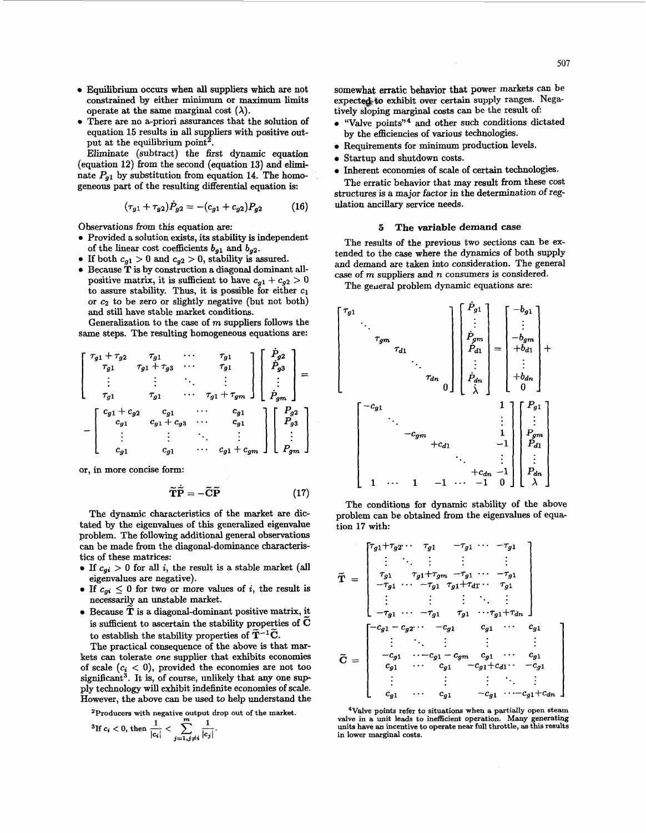- *0* Equilibrium occurs when **all** suppliers which are not constrained by either minimum or maximum limits operate at the same marginal cost  $(\lambda)$ .
- There are no a-priori assurances that the solution of equation **15** results in all suppliers with positive output at the equilibrium point<sup>2</sup>.

Eliminate (subtract) the first dynamic equation (equation **12)** from the second (equation **13)** and eliminate  $P_{q1}$  by substitution from equation 14. The homogeneous part of the resulting differential equation is:

$$
(\tau_{g1} + \tau_{g2}) \dot{P}_{g2} = -(c_{g1} + c_{g2}) P_{g2} \tag{16}
$$

Observations from this equation axe:

- Provided a solution exists, its stability is independent of the linear cost coefficients  $b_{g1}$  and  $b_{g2}$ .
- If both  $c_{g1} > 0$  and  $c_{g2} > 0$ , stability is assured.
- *0* Because **T** is by construction a diagonal dominant allpositive matrix, it is sufficient to have  $c_{q1} + c_{q2} > 0$ to assure stability. Thus, it is possible for either  $c_1$ or  $c_2$  to be zero or slightly negative (but not both) and still have stable market conditions.

Generalization to the case of m suppliers follows the same steps. The resulting homogeneous equations are:

$$
\begin{bmatrix}\n\tau_{g1} + \tau_{g2} & \tau_{g1} & \cdots & \tau_{g1} \\
\tau_{g1} & \tau_{g1} + \tau_{g3} & \cdots & \tau_{g1} \\
\vdots & \vdots & \ddots & \vdots \\
\tau_{g1} & \tau_{g1} & \cdots & \tau_{g1} + \tau_{gm}\n\end{bmatrix}\n\begin{bmatrix}\n\dot{P}_{g2} \\
\dot{P}_{g3} \\
\vdots \\
\dot{P}_{gm}\n\end{bmatrix} = \n\begin{bmatrix}\nc_{g1} + c_{g2} & c_{g1} & \cdots & c_{g1} \\
c_{g1} + c_{g3} & \cdots & c_{g1} \\
\vdots & \vdots & \ddots & \vdots \\
c_{g1} & c_{g1} & \cdots & c_{g1} + c_{gm}\n\end{bmatrix}\n\begin{bmatrix}\nP_{g2} \\
P_{g3} \\
\vdots \\
P_{gm}\n\end{bmatrix}
$$

or, in more concise form:

$$
\widetilde{\mathbf{T}}\widetilde{\mathbf{P}} = -\widetilde{\mathbf{C}}\widetilde{\mathbf{P}} \tag{17}
$$

The dynamic characteristics of the market are dictated by the eigenvalues of this generalized eigenvalue problem. The following additional general observations can be made from the diagonal-dominance characteristics of these matrices:

- If  $c_{qi} > 0$  for all *i*, the result is a stable market (all eigenvalues are negative).
- If  $c_{qi} \leq 0$  for two or more values of *i*, the result is necessarily an unstable market.
- *<sup>0</sup>*Because *T* is a diagonal-dominant positive matrix, *5*  is sufficient to ascertain the stability properties of C to establish the stability properties of  $\tilde{T}^{-1}\tilde{C}$ .

The practical consequence of the above is that markets can tolerate one supplier that exhibits economies of scale  $(c_i < 0)$ , provided the economies are not too significant<sup>3</sup>. It is, of course, unlikely that any one supply technology will exhibit indefinite economies of scale. However, the above can be used to help understand the

<sup>2</sup>Producers with negative output drop out of the market.

$$
{}^{3}\text{If }c_{i} < 0 \text{, then }\frac{1}{|c_{i}|} < \sum_{j=1, j \neq i} \frac{1}{|c_{j}|}.
$$

somewhat erratic **behavior** that power markets can be expected to exhibit over certain supply ranges. Negatively sloping marginal **costs can** be the result of:

- **e** "Valve points"\* and other such conditions dictated by the efficiencies of various technologies.
- *0* Requirements for minimum production levels.
- *0* Startup and shutdown costs.
- *0* Inherent economies of scale of certain technologies.

The erratic behavior that may result from these cost structures is a major factor in the determination of regulation ancillary service needs.

#### **5 The variable demand case**

The results of the previous two sections can be extended to the case where the dynamics of both supply and demand are taken into consideration. The general case of m suppliers and *n* consumers is considered.

The general problem dynamic equations are:



The conditions for dynamic stability of the above problem can be obtained from the eigenvalues of equation **17** with:

$$
\tilde{T} = \begin{bmatrix}\n\tau_{g1} + \tau_{g2} & \tau_{g1} & -\tau_{g1} & \cdots & -\tau_{g1} \\
\vdots & \ddots & \vdots & \vdots & \vdots \\
\tau_{g1} & \tau_{g1} + \tau_{gm} & -\tau_{g1} & \cdots & -\tau_{g1} \\
-\tau_{g1} & \cdots & -\tau_{g1} & \tau_{g1} + \tau_{d1} & \cdots & \tau_{g1} \\
\vdots & \vdots & \vdots & \ddots & \vdots \\
-\tau_{g1} & \cdots & -\tau_{g1} & \tau_{g1} & \cdots & -\tau_{g1} + \tau_{dn}\n\end{bmatrix}
$$
\n
$$
\tilde{C} = \begin{bmatrix}\n-c_{g1} - c_{g2} & \cdots & -c_{g1} & c_{g1} & \cdots & c_{g1} \\
\vdots & \vdots & \vdots & \vdots & \vdots \\
-c_{g1} & \cdots & -c_{g1} - c_{gm} & c_{g1} & \cdots & c_{g1} \\
c_{g1} & \cdots & c_{g1} & -c_{g1} + c_{d1} & \cdots & -c_{g1} \\
\vdots & \vdots & \vdots & \vdots & \ddots & \vdots \\
c_{g1} & \cdots & c_{g1} & -c_{g1} & \cdots & -c_{g1} + c_{dn}\n\end{bmatrix}
$$

**4Valve points refer to situations when a partially open steam valve in a unit leads to inefficient operation. Many generating units have an incentive to operate near full throttle, as this results in lower marginal costs.**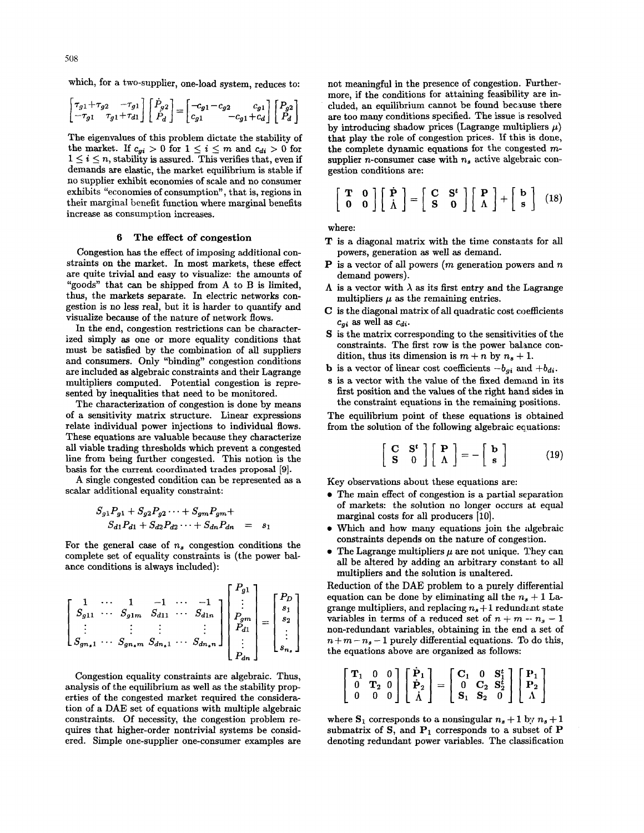which, for a two-supplier, one-load system, reduces to:

$$
\begin{bmatrix} \tau_{g1} + \tau_{g2} & -\tau_{g1} \\ -\tau_{g1} & \tau_{g1} + \tau_{d1} \end{bmatrix} \begin{bmatrix} \dot{P}_{g2} \\ \dot{P}_d \end{bmatrix} = \begin{bmatrix} -c_{g1} - c_{g2} & c_{g1} \\ c_{g1} & -c_{g1} + c_d \end{bmatrix} \begin{bmatrix} P_{g2} \\ P_d \end{bmatrix}
$$

The eigenvalues of this problem dictate the stability of the market. If  $c_{gi} > 0$  for  $1 \leq i \leq m$  and  $c_{di} > 0$  for  $1 \leq i \leq n$ , stability is assured. This verifies that, even if demands are elastic, the market equilibrium is stable if no supplier exhibit economies of scale and no consumer exhibits "economies of consumption", that is, regions in their marginal benefit function where marginal benefits increase **as** consumption increases.

## **6 The effect of congestion**

Congestion has the effect of imposing additional constraints on the market. In most markets, these effect are quite trivial and easy to visualize: the amounts of "goods" that can be shipped from A to B is limited, thus, the markets separate. In electric networks congestion is no less real, but it is harder to quantify and visualize because of the nature of network flows.

In the end, congestion restrictions can be characterized simply **as** one or more equality conditions that must be satisfied by the combination of all suppliers and consumers. Only "binding" congestion conditions are included **as** algebraic constraints and their Lagrange multipliers computed. Potential congestion is represented by inequalities that need to be monitored.

The characterization of congestion is done by means of a sensitivity matrix structure. Linear expressions relate individual power injections to individual flows. These equations axe valuable because they characterize all viable trading thresholds which prevent a congested line from being further congested. This notion is the basis for the current coordinated trades **proposal [9].** 

A single congested condition can be represented **as** a scalar additional equality constraint:

$$
S_{g1}P_{g1} + S_{g2}P_{g2} \cdots + S_{gm}P_{gm} + S_{d1}P_{d1} + S_{d2}P_{d2} \cdots + S_{dn}P_{dn} = s_1
$$

For the general case of  $n<sub>s</sub>$  congestion conditions the complete set of equality constraints is (the power balance conditions is always included):

$$
\begin{bmatrix} 1 & \cdots & 1 & -1 & \cdots & -1 \\ S_{g11} & \cdots & S_{g1m} & S_{d11} & \cdots & S_{d1n} \\ \vdots & \vdots & \vdots & \vdots & \vdots \\ S_{gn_s1} & \cdots & S_{gn_sm} & S_{dn_s1} & \cdots & S_{dn_sn} \end{bmatrix} \begin{bmatrix} P_{g1} \\ \vdots \\ P_{gm} \\ P_{di} \\ \vdots \\ P_{dn} \end{bmatrix} = \begin{bmatrix} P_D \\ s_1 \\ s_2 \\ \vdots \\ s_{n_s} \end{bmatrix}
$$

Congestion equality constraints are algebraic. Thus, analysis of the equilibrium as well **as** the stability properties of the congested market required the consideration of a DAE set of equations with multiple algebraic constraints. Of necessity, the congestion problem requires that higher-order nontrivial systems be considered. Simple one-supplier one-consumer examples are not meaningful in the presence of congestion. Furthermore, if the conditions for attaining feasibility are included, an equilibrium cannot be found because there are too many conditions specified. The issue is resolved by introducing shadow prices (Lagrange multipliers  $\mu$ ) that play the role of congestion prices. **If** this is done, the complete dynamic equations for the congested *m*supplier *n*-consumer case with  $n<sub>s</sub>$  active algebraic congestion conditions are:

$$
\left[\begin{array}{cc} \mathbf{T} & \mathbf{0} \\ \mathbf{0} & \mathbf{0} \end{array}\right] \left[\begin{array}{c} \dot{\mathbf{P}} \\ \dot{\Lambda} \end{array}\right] = \left[\begin{array}{cc} \mathbf{C} & \mathbf{S}^t \\ \mathbf{S} & \mathbf{0} \end{array}\right] \left[\begin{array}{c} \mathbf{P} \\ \Lambda \end{array}\right] + \left[\begin{array}{c} \mathbf{b} \\ \mathbf{s} \end{array}\right] (18)
$$

where:

- **T** is a diagonal matrix with the time constants for all powers, generation **as** well **as** demand.
- *P* is a vector of all powers (*m* generation powers and *n* demand powers).
- $\Lambda$  is a vector with  $\lambda$  as its first entry and the Lagrange multipliers  $\mu$  as the remaining entries.
- *C* is the diagonal matrix of all quadratic cost coefficients  $c_{qi}$  as well as  $c_{di}$ .
- S is the matrix corresponding to the sensitivities of the constraints. The first row is the power balance condition, thus its dimension is  $m + n$  by  $n_s + 1$ .
- **b** is a vector of linear cost coefficients  $-b_{qi}$  and  $+b_{di}$ .
- **s** is a vector with the value of the fixed demand in its first position and the values of the right hand sides in the constraint equations in the remaining positions.

The equilibrium point of these equations is obtained from the solution of the following algebraic equations:

$$
\left[\begin{array}{cc} \mathbf{C} & \mathbf{S}^t \\ \mathbf{S} & 0 \end{array}\right] \left[\begin{array}{c} \mathbf{P} \\ \Lambda \end{array}\right] = -\left[\begin{array}{c} \mathbf{b} \\ \mathbf{s} \end{array}\right] \tag{19}
$$

Key observations about these equations are:

- The main effect of congestion is a partial separation of markets: the solution no longer occurs at equal marginal costs for all producers [10].
- Which and how many equations join the algebraic constraints depends on the nature of congestion.
- $\bullet$  The Lagrange multipliers  $\mu$  are not unique. They can all be altered by adding an arbitrary constant to all multipliers and the solution is unaltered.

Reduction of the DAE problem to a purely differential equation can be done by eliminating all the  $n_s + 1$  Lagrange multipliers, and replacing  $n_s + 1$  redundant state variables in terms of a reduced set of  $n + m - n_s - 1$ non-redundant variables, obtaining in the end a set of  $n+m-n_s-1$  purely differential equations. To do this,

the equations above are organized as follows:  
\n
$$
\begin{bmatrix}\n\mathbf{T}_1 & 0 & 0 \\
0 & \mathbf{T}_2 & 0 \\
0 & 0 & 0\n\end{bmatrix}\n\begin{bmatrix}\n\dot{\mathbf{P}}_1 \\
\dot{\mathbf{P}}_2 \\
\dot{\Lambda}\n\end{bmatrix} =\n\begin{bmatrix}\n\mathbf{C}_1 & 0 & \mathbf{S}_1^t \\
0 & \mathbf{C}_2 & \mathbf{S}_2^t \\
\mathbf{S}_1 & \mathbf{S}_2 & 0\n\end{bmatrix}\n\begin{bmatrix}\n\mathbf{P}_1 \\
\mathbf{P}_2 \\
\Lambda\n\end{bmatrix}
$$

where  $S_1$  corresponds to a nonsingular  $n_s + 1$  by  $n_s + 1$ submatrix of  $S$ , and  $P_1$  corresponds to a subset of  $P$ denoting redundant power variables. The classification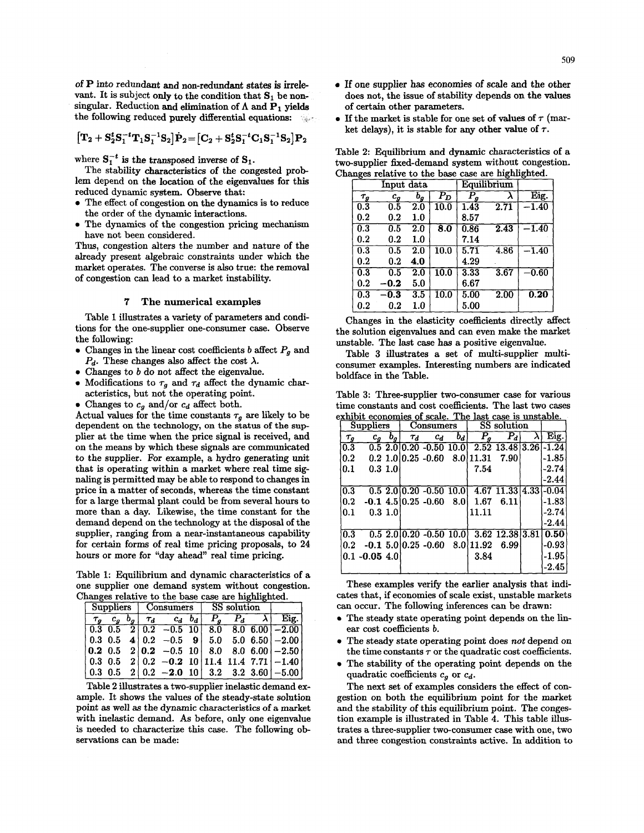of P into redundant and non-redundant states **is irrele**vant. It is subject only to the condition that  $S_1$  be nonsingular. Reduction and elimination of  $\Lambda$  and  $P_1$  vields the following reduced purely differential equations:

$$
\big[{\mathbf{T}}_2+{\mathbf{S}}_2^t{\mathbf{S}}_1^{-t}{\mathbf{T}}_1{\mathbf{S}}_1^{-1}{\mathbf{S}}_2\big]\dot{\mathbf{P}}_2\!=\!\big[{\mathbf{C}}_2+{\mathbf{S}}_2^t{\mathbf{S}}_1^{-t}{\mathbf{C}}_1{\mathbf{S}}_1^{-1}{\mathbf{S}}_2\big]\mathbf{P}_2
$$

where  $S_1^{-t}$  is the transposed inverse of  $S_1$ .

The stability characteristics of the congested problem depend on the location of the eigenvalues for this reduced dynamic system. Observe that:

- The effect of congestion on the dynamics is to reduce the order of the dynamic interactions.
- **e** The dynamics of the congestion pricing mechanism have not been considered.

Thus, congestion alters the number and nature of the already present algebraic constraints under which the market operates. The converse is also true: the removal of congestion can lead to a market instability.

# *7* The numerical examples

Table **1** illustrates a variety of parameters and conditions for the one-supplier one-consumer case. Observe the following:

- Changes in the linear cost coefficients  $b$  affect  $P<sub>g</sub>$  and  $P_d$ . These changes also affect the cost  $\lambda$ .
- **e** Changes to b do not affect the eigenvalue.
- Modifications to  $\tau_g$  and  $\tau_d$  affect the dynamic characteristics, but not the operating point.
- Changes to  $c_g$  and/or  $c_d$  affect both.

Actual values for the time constants  $\tau_g$  are likely to be dependent on the technology, on the status of the supplier at the time when the price signal is received, and on the means by which these signals are communicated to the supplier. For example, a hydro generating unit that is operating within a market where real time signaling is permitted may be able to respond to changes in price in a matter of seconds, whereas the time constant for a large thermal plant could be from several hours to more than a day. Likewise, the time constant for the demand depend on the technology at the disposal of the supplier, ranging from a near-instantaneous capability for certain forms of real time pricing proposals, to **24**  hours or more for "day ahead" real time pricing.

Table 1: Equilibrium and dynamic characteristics of a one supplier one demand system without congestion. Changes relative to the base case are highlighted.

| <b>Suppliers</b> |                |              |          | Consumers         |       | SS solution |         |  |                                              |
|------------------|----------------|--------------|----------|-------------------|-------|-------------|---------|--|----------------------------------------------|
|                  |                | $b_{\sigma}$ | $\tau_d$ | $c_d$             | $b_d$ | $P_{\sim}$  | $P_{d}$ |  | Eig.                                         |
| J 0.3 O.5        |                |              |          | $2 0.2 - 0.5 10 $ |       |             |         |  | $8.0 \quad 8.0 \quad 6.00 \quad -2.00$       |
|                  | $0.3 \;\; 0.5$ |              |          |                   |       |             |         |  | 4 0.2 $-0.5$ 9 5.0 5.0 6.50 $-2.00$          |
|                  |                |              |          |                   |       |             |         |  |                                              |
|                  | $0.3 \;\; 0.5$ |              |          |                   |       |             |         |  | $2   0.2 -0.2 10   11.4 11.4 7.71   -1.40  $ |
|                  | $0.3 \;\; 0.5$ |              |          |                   |       |             |         |  | $2   0.2 -2.0 10   3.2 3.2 3.60   -5.00  $   |

Table 2 illustrates a two-supplier inelastic demand example. It shows the values of the steady-state solution point as well as the dynamic characteristics of a market with inelastic demand. As before, only one eigenvalue is needed to characterize this case. The following observations can be made:

- **e If** one supplier **has** economies *of* scale **and** the other does not, the issue of stability depends **on** the values of certain other parameters.
- $\bullet$  If the market is stable for one set of values of  $\tau$  (market delays), it is stable for any other value of  $\tau$ .

Table **2:** Equilibrium and dynamic characteristics of a two-supplier fixed-demand system without congestion. Changes relative to the base case are highlighted.

|                  | Input data         |                  |                      |                   | Equilibrium |         |
|------------------|--------------------|------------------|----------------------|-------------------|-------------|---------|
| $\tau_g$         | $\scriptstyle c_g$ | $o_{g}$          | $\bar{P}_{D}$        | P<br>я            | λ           | Eig.    |
| $\overline{0.3}$ | 0.5                | $2.0\,$          | 10.0                 | $1.\overline{43}$ | 2.71        | $-1.40$ |
| 0.2              | $0.2\,$            | 1.0              |                      | 8.57              |             |         |
| 0.3              | 0.5                | $2.0\,$          | $\overline{\bf 8.0}$ | 0.86              | 2.43        | $-1.40$ |
| $0.2\,$          | 0.2                | 1.0              |                      | 7.14              |             |         |
| 0.3              | 0.5                | $2.0\,$          | 10.0                 | 5.71              | 4.86        | $-1.40$ |
| 0.2              | $0.2\,$            | 4.0              |                      | 4.29              |             |         |
| $\overline{0.3}$ | 0.5                | 2.0              | 10.0                 | 3.33              | 3.67        | $-0.60$ |
| 0.2              | -0.2               | 5.0              |                      | 6.67              |             |         |
| 0.3              | 0.3                | $\overline{3.5}$ | $\overline{10.0}$    | 5.00              | 2.00        | 0.20    |
| $0.2\,$          | $0.2\,$            | $1.0\,$          |                      | 5.00              |             |         |

Changes in the elasticity coefficients directly affect the solution eigenvalues and can even make the market unstable. The last case has a positive eigenvalue.

Table **3** illustrates a set of multi-supplier multiconsumer examples. Interesting numbers are indicated boldface in the Table.

Table **3:** Three-supplier two-consumer case for various time constants and cost coefficients. The last two cases exhibit economies of scale. The last case is unstable.

| Suppliers         |                  |              |          | Consumers                      |       | <b>SS</b> solution                |                             |   |         |
|-------------------|------------------|--------------|----------|--------------------------------|-------|-----------------------------------|-----------------------------|---|---------|
| $\tau_q$          | $c_a$            | $b_g$        | $\tau_d$ | $c_d$                          | $b_d$ | $\tilde{P}_g$                     | $\overline{P}_d$            | λ | Eig.    |
| 0.3               |                  |              |          | $0.5$ 2.0 0.20 -0.50 10.0      |       |                                   | $2.52$ 13.48 3.26 -1.24     |   |         |
| 0.2               |                  |              |          | $0.2$ 1.0 0.25 -0.60 8.0 11.31 |       |                                   | 7.90                        |   | $-1.85$ |
| $\vert 0.1 \vert$ | 0.3 1.0          |              |          |                                |       | 7.54                              |                             |   | $-2.74$ |
|                   |                  |              |          |                                |       |                                   |                             |   | $-2.44$ |
| 0.3               |                  |              |          | $0.5$ 2.0 $ 0.20$ -0.50 10.01  |       |                                   | $4.67$ 11.33 $ 4.33 $ -0.04 |   |         |
| 0.2               |                  |              |          | $-0.1$ 4.5 0.25 $-0.60$        | 8.0   | 1.67                              | 6.11                        |   | $-1.83$ |
| $\mathbf{0.1}$    |                  | $0.3 \; 1.0$ |          |                                |       | 11.11                             |                             |   | $-2.74$ |
|                   |                  |              |          |                                |       |                                   |                             |   | $-2.44$ |
| 0.3               |                  |              |          | $0.5$ 2.0 $0.20$ -0.50 10.0    |       |                                   | $3.62$ 12.38 3.81           |   | 0.50    |
| 0.2               |                  |              |          |                                |       | $-0.1$ 5.0 0.25 $-0.60$ 8.0 11.92 | 6.99                        |   | $-0.93$ |
|                   | $0.1 - 0.05 4.0$ |              |          |                                |       | 3.84                              |                             |   | -1.95   |
|                   |                  |              |          |                                |       |                                   |                             |   | $-2.45$ |

These examples verify the earlier analysis that indicates that, if economies of scale exist, unstable markets can occur. The following inferences can be drawn:

- **e** The steady state operating point depends on the linear cost coefficients b.
- **e** The steady state operating point does not depend on the time constants  $\tau$  or the quadratic cost coefficients.
- **e** The stability of the operating point depends on the quadratic coefficients  $c_q$  or  $c_d$ .

The next set of examples considers the effect of congestion on both the equilibrium point for the market and the stability of this equilibrium point. The congestion example is illustrated in Table **4.** This table illustrates a three-supplier two-consumer case with one, two and three congestion constraints active. In addition to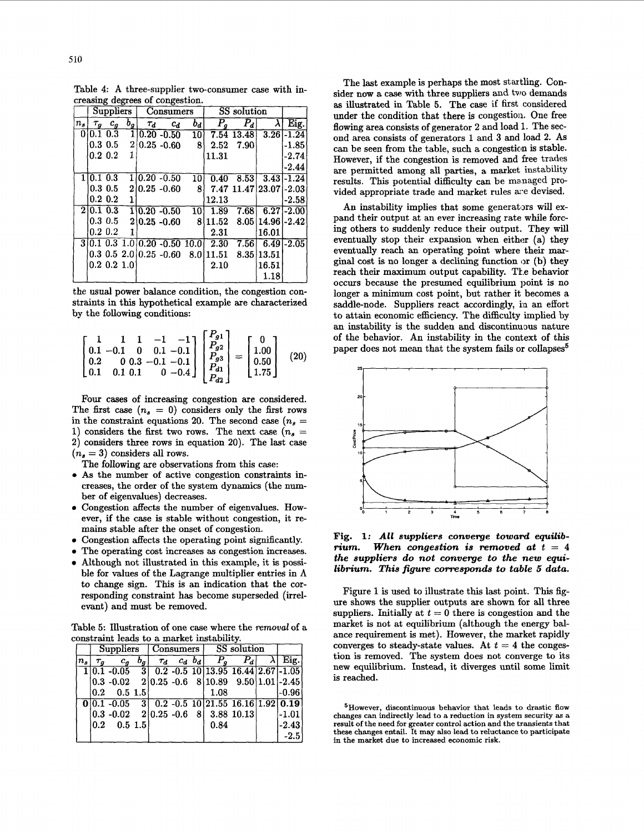Table **4:** A three-supplier two-consumer case with increasing degrees of congestion.

|                | <b>Suppliers</b> |                |             |          | <b>Consumers</b>                 |                 | SS solution                        |                         |                    |               |
|----------------|------------------|----------------|-------------|----------|----------------------------------|-----------------|------------------------------------|-------------------------|--------------------|---------------|
| n <sub>s</sub> |                  | $\tau_g$ $c_g$ | $b_{q}$     | $\tau_d$ | $c_d$                            | $b_d$           | $P_{g}$                            | $P_d$                   |                    | Eig.          |
|                | 0 0.1 0.3        |                |             |          | $1 0.20 - 0.50$                  | 10)             |                                    | 7.54 13.48              |                    | $3.26 - 1.24$ |
|                |                  | $0.3 \; 0.5$   |             |          | $2 0.25 - 0.60$                  | 8 <sup>1</sup>  | 2.52                               | - 7.90                  |                    | $-1.85$       |
|                | $0.2\;0.2$       |                | 1           |          |                                  |                 | 11.31                              |                         |                    | $-2.74$       |
|                |                  |                |             |          |                                  |                 |                                    |                         |                    | $-2.44$       |
|                | 1 0.1 0.3        |                |             |          | $1 0.20 - 0.50$                  | 10 <sub>1</sub> | 0.40                               | 8.53                    |                    | $3.43 - 1.24$ |
|                |                  | $0.3\;0.5$     |             |          | $2 0.25 - 0.60 $                 | 8               |                                    | 7.47 11.47 23.07 - 2.03 |                    |               |
|                |                  | 0.2 0.2        | 1           |          |                                  |                 | 12.13                              |                         |                    | $-2.58$       |
|                | 2 0.1 0.3        |                |             |          | $1 0.20 - 0.50$                  | 10 <sup>1</sup> | 1.89                               | 7.68                    |                    | $6.27 - 2.00$ |
|                |                  | $0.3 \; 0.5$   |             |          | $2 0.25 - 0.60 $                 |                 | 8 11.52                            |                         | $8.05(14.96)-2.42$ |               |
|                |                  | $0.2\;0.2$     |             |          |                                  |                 | 2.31                               |                         | 16.01              |               |
|                |                  |                |             |          | $3 0.1$ 0.3 1.0 0.20 - 0.50 10.0 |                 | 2.30                               | 7.56                    |                    | $6.49 - 2.05$ |
|                |                  |                |             |          |                                  |                 | $0.3$ 0.5 2.0 0.25 -0.60 8.0 11.51 |                         | 8.35 13.51         |               |
|                |                  |                | 0.2 0.2 1.0 |          |                                  |                 | 2.10                               |                         | 16.51              |               |
|                |                  |                |             |          |                                  |                 |                                    |                         | 1.18               |               |

the usual power balance condition, the congestion constraints in this hypothetical example are characterized by the following conditions:

$$
\begin{bmatrix} 1 & 1 & 1 & -1 & -1 \ 0.1 & -0.1 & 0 & 0.1 & -0.1 \ 0.2 & 0 & 0.3 & -0.1 & -0.1 \ 0.1 & 0.1 & 0.1 & 0 & -0.4 \end{bmatrix} \begin{bmatrix} P_{g1} \ P_{g2} \ P_{g3} \ P_{d1} \ P_{d2} \end{bmatrix} = \begin{bmatrix} 0 \ 1.00 \ 0.50 \ 1.75 \end{bmatrix} \quad (20)
$$

Four cases of increasing congestion are considered. The first case  $(n_s = 0)$  considers only the first rows in the constraint equations 20. The second case  $(n_s =$ 1) considers the first two rows. The next case  $(n_s =$ **2)** considers three rows in equation **20).** The last case  $(n_s = 3)$  considers all rows.

- The following are observations from this case:
- As the number of active congestion constraints increases, the order of the system dynamics (the number of eigenvalues) decreases.
- Congestion affects the number of eigenvalues. However, if the case is stable without congestion, it remains stable after the onset of congestion.
- Congestion affects the operating point significantly.
- The operating cost increases **as** congestion increases.
- Although not illustrated in this example, it is possible for values of the Lagrange multiplier entries in  $\Lambda$ to change sign. This is an indication that the corresponding constraint has become superseded (irrelevant) and must be removed.

Table *5:* Illustration of one case where the *removal* of a constraint leads to a market instability.

| onstraint leads to a market instability. |  |       |                    |                                                                 |          |             |                 |  |                                                                                                                                                                                                                                                          |
|------------------------------------------|--|-------|--------------------|-----------------------------------------------------------------|----------|-------------|-----------------|--|----------------------------------------------------------------------------------------------------------------------------------------------------------------------------------------------------------------------------------------------------------|
|                                          |  |       |                    |                                                                 |          |             |                 |  |                                                                                                                                                                                                                                                          |
| $\tau_o$                                 |  | $b_g$ |                    |                                                                 |          |             | $\mathcal{F}_d$ |  | Eig.                                                                                                                                                                                                                                                     |
|                                          |  |       |                    |                                                                 |          |             |                 |  |                                                                                                                                                                                                                                                          |
|                                          |  |       |                    |                                                                 |          |             |                 |  |                                                                                                                                                                                                                                                          |
|                                          |  |       |                    |                                                                 |          | 1.08        |                 |  | $-0.96$                                                                                                                                                                                                                                                  |
|                                          |  |       |                    |                                                                 |          |             |                 |  |                                                                                                                                                                                                                                                          |
|                                          |  |       |                    |                                                                 |          |             |                 |  | $-1.01$                                                                                                                                                                                                                                                  |
|                                          |  |       |                    |                                                                 |          | 0.84        |                 |  | $-2.43$                                                                                                                                                                                                                                                  |
|                                          |  |       |                    |                                                                 |          |             |                 |  | $-2.5$                                                                                                                                                                                                                                                   |
|                                          |  | 0.2   | Suppliers<br>$c_g$ | $0.5 \; 1.5$<br>$\begin{bmatrix} 0.2 & 0.5 & 1.5 \end{bmatrix}$ | $\tau_d$ | $c_d$ $b_d$ | Consumers       |  | SS solution<br>$1 0.1 - 0.05$ 3 0.2 - 0.5 10 13.95 16.44 2.67 - 1.05<br>$\boxed{0 0.1 - 0.05}$ 3 0.2 - 0.5 10 21.55 16.16 1.92 0.19<br>$\begin{array}{ c c c c c c c c c } \hline 0.3 & -0.02 & 2 & 0.25 & -0.6 & 8 & 3.88 & 10.13 \ \hline \end{array}$ |

The last example is perhaps the most startling. Consider now a case with three suppliers and two demands **as** illustrated in Table *5.* The case if first considered under the condition that there **is** congestion. One free flowing area consists of generator **2** and load 1. The second area consists of generators **1** and 3 and load **2.** AS can be seen from the table, such a congestion is stable. However, if the congestion is removed and free trades are permitted among all parties, **a** market instability results. This potential difficulty can be managed provided appropriate trade and market rules are devised.

An instability implies that some generators will expand their output at an ever increasing rate while forcing others to suddenly reduce their output. They will eventually stop their expansion when either (a) they eventually reach an operating point where their marginal cost is no longer a declining function or (b) they reach their maximum output capability. The behavior occurs because the presumed equilibrium point is no longer a minimum cost point, but rather it becomes a saddle-node. Suppliers react accordingly, in an effort to attain economic eficiency. The difficulty implied by an instability is the sudden and discontinuous nature of the behavior. An instability in the context of this paper does not mean that the system fails or collapses<sup>5</sup>



**Fig. 1:** *All suppliers converge toward equilibrium.* When congestion is removed at  $t = 4$ *the suppliers do not converge to the new equilibrium. This jigum corresponds to table 5 data.* 

Figure 1 is used to illustrate this last point. This figure shows the supplier outputs are shown for all three suppliers. Initially at  $t = 0$  there is congestion and the market is not at equilibrium (although the energy balance requirement is met). However, the market rapidly converges to steady-state values. At  $t = 4$  the congestion is removed. The system does not converge to its new equilibrium. Instead, it diverges until some limit is reached.

**5However, discontinuous behavior that leads to drastic flow changes can indirectly lead to a reduction in system security as a result of the need for greater control action and the transients that these changes entail. It may also lead to reluctance to participate in the market due to increased economic risk.**